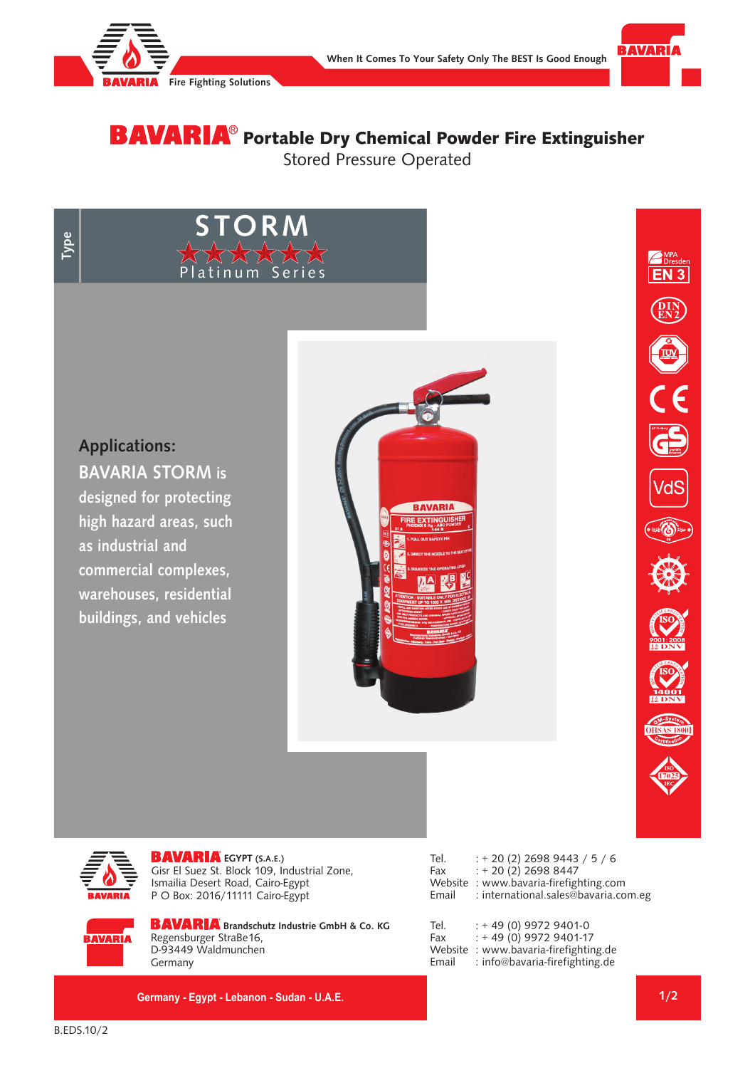

**STORM**

Platinum Series



# **BAVARIA**® Portable Dry Chemical Powder Fire Extinguisher Stored Pressure Operated

## **Applications:**

**BAVARIA STORM is designed for protecting high hazard areas, such as industrial and commercial complexes, warehouses, residential buildings, and vehicles**







**BAVARIA** 

**EGYPT (S.A.E.)** Gisr El Suez St. Block 109, Industrial Zone, Ismailia Desert Road, Cairo-Egypt P O Box: 2016/11111 Cairo-Egypt

| <b>BAVARIA</b> Brandschutz Industri |
|-------------------------------------|
| Regensburger StraBe16,              |
| D-93449 Waldmunchen                 |
|                                     |

**Brands** Co. KG Germany

**Germany - Egypt - Lebanon - Sudan - U.A.E.**

| Tel.  | $: +20(2)$ 2698 9443 / 5 / 6          |
|-------|---------------------------------------|
| Fax   | $: +20(2)$ 2698 8447                  |
|       | Website: www.bavaria-firefighting.com |
| Email | : international.sales@bavaria.com.eg  |

Tel. : + 49 (0) 9972 9401-0 Fax : + 49 (0) 9972 9401-17 Website : www.bavaria-firefighting.de Email : info@bavaria-firefighting.de